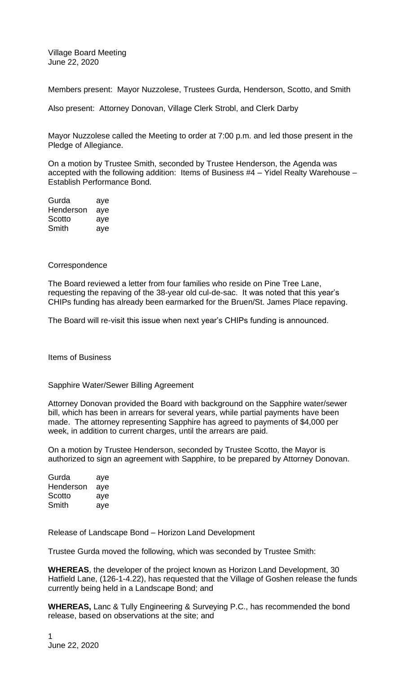Village Board Meeting June 22, 2020

Members present: Mayor Nuzzolese, Trustees Gurda, Henderson, Scotto, and Smith

Also present: Attorney Donovan, Village Clerk Strobl, and Clerk Darby

Mayor Nuzzolese called the Meeting to order at 7:00 p.m. and led those present in the Pledge of Allegiance.

On a motion by Trustee Smith, seconded by Trustee Henderson, the Agenda was accepted with the following addition: Items of Business #4 – Yidel Realty Warehouse – Establish Performance Bond.

| Gurda     | aye |
|-----------|-----|
| Henderson | aye |
| Scotto    | aye |
| Smith     | aye |

## **Correspondence**

The Board reviewed a letter from four families who reside on Pine Tree Lane, requesting the repaving of the 38-year old cul-de-sac. It was noted that this year's CHIPs funding has already been earmarked for the Bruen/St. James Place repaving.

The Board will re-visit this issue when next year's CHIPs funding is announced.

Items of Business

Sapphire Water/Sewer Billing Agreement

Attorney Donovan provided the Board with background on the Sapphire water/sewer bill, which has been in arrears for several years, while partial payments have been made. The attorney representing Sapphire has agreed to payments of \$4,000 per week, in addition to current charges, until the arrears are paid.

On a motion by Trustee Henderson, seconded by Trustee Scotto, the Mayor is authorized to sign an agreement with Sapphire, to be prepared by Attorney Donovan.

| aye |
|-----|
| aye |
| aye |
| aye |
|     |

Release of Landscape Bond – Horizon Land Development

Trustee Gurda moved the following, which was seconded by Trustee Smith:

**WHEREAS**, the developer of the project known as Horizon Land Development, 30 Hatfield Lane, (126-1-4.22), has requested that the Village of Goshen release the funds currently being held in a Landscape Bond; and

**WHEREAS,** Lanc & Tully Engineering & Surveying P.C., has recommended the bond release, based on observations at the site; and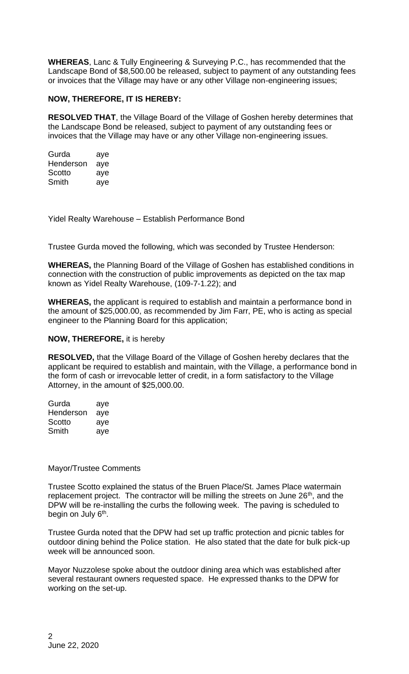**WHEREAS**, Lanc & Tully Engineering & Surveying P.C., has recommended that the Landscape Bond of \$8,500.00 be released, subject to payment of any outstanding fees or invoices that the Village may have or any other Village non-engineering issues;

## **NOW, THEREFORE, IT IS HEREBY:**

**RESOLVED THAT**, the Village Board of the Village of Goshen hereby determines that the Landscape Bond be released, subject to payment of any outstanding fees or invoices that the Village may have or any other Village non-engineering issues.

| Gurda     | aye |
|-----------|-----|
| Henderson | aye |
| Scotto    | aye |
| Smith     | aye |

Yidel Realty Warehouse – Establish Performance Bond

Trustee Gurda moved the following, which was seconded by Trustee Henderson:

**WHEREAS,** the Planning Board of the Village of Goshen has established conditions in connection with the construction of public improvements as depicted on the tax map known as Yidel Realty Warehouse, (109-7-1.22); and

**WHEREAS,** the applicant is required to establish and maintain a performance bond in the amount of \$25,000.00, as recommended by Jim Farr, PE, who is acting as special engineer to the Planning Board for this application;

## **NOW, THEREFORE,** it is hereby

**RESOLVED,** that the Village Board of the Village of Goshen hereby declares that the applicant be required to establish and maintain, with the Village, a performance bond in the form of cash or irrevocable letter of credit, in a form satisfactory to the Village Attorney, in the amount of \$25,000.00.

| Gurda     | aye |
|-----------|-----|
| Henderson | aye |
| Scotto    | aye |
| Smith     | aye |

## Mayor/Trustee Comments

Trustee Scotto explained the status of the Bruen Place/St. James Place watermain replacement project. The contractor will be milling the streets on June  $26<sup>th</sup>$ , and the DPW will be re-installing the curbs the following week. The paving is scheduled to begin on July 6<sup>th</sup>.

Trustee Gurda noted that the DPW had set up traffic protection and picnic tables for outdoor dining behind the Police station. He also stated that the date for bulk pick-up week will be announced soon.

Mayor Nuzzolese spoke about the outdoor dining area which was established after several restaurant owners requested space. He expressed thanks to the DPW for working on the set-up.